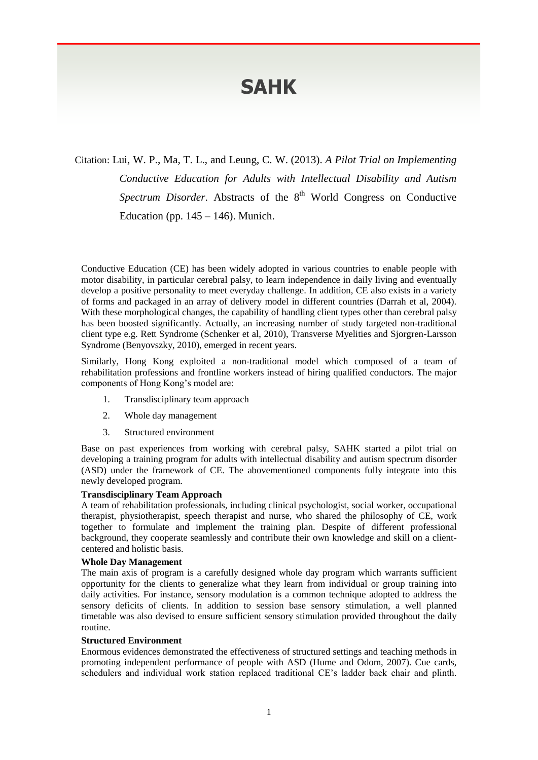# **SAHK**

Citation: Lui, W. P., Ma, T. L., and Leung, C. W. (2013). *A Pilot Trial on Implementing Conductive Education for Adults with Intellectual Disability and Autism*  Spectrum Disorder. Abstracts of the 8<sup>th</sup> World Congress on Conductive Education (pp.  $145 - 146$ ). Munich.

Conductive Education (CE) has been widely adopted in various countries to enable people with motor disability, in particular cerebral palsy, to learn independence in daily living and eventually develop a positive personality to meet everyday challenge. In addition, CE also exists in a variety of forms and packaged in an array of delivery model in different countries (Darrah et al, 2004). With these morphological changes, the capability of handling client types other than cerebral palsy has been boosted significantly. Actually, an increasing number of study targeted non-traditional client type e.g. Rett Syndrome (Schenker et al, 2010), Transverse Myelities and Sjorgren-Larsson Syndrome (Benyovszky, 2010), emerged in recent years.

Similarly, Hong Kong exploited a non-traditional model which composed of a team of rehabilitation professions and frontline workers instead of hiring qualified conductors. The major components of Hong Kong's model are:

- 1. Transdisciplinary team approach
- 2. Whole day management
- 3. Structured environment

Base on past experiences from working with cerebral palsy, SAHK started a pilot trial on developing a training program for adults with intellectual disability and autism spectrum disorder (ASD) under the framework of CE. The abovementioned components fully integrate into this newly developed program.

## **Transdisciplinary Team Approach**

A team of rehabilitation professionals, including clinical psychologist, social worker, occupational therapist, physiotherapist, speech therapist and nurse, who shared the philosophy of CE, work together to formulate and implement the training plan. Despite of different professional background, they cooperate seamlessly and contribute their own knowledge and skill on a clientcentered and holistic basis.

### **Whole Day Management**

The main axis of program is a carefully designed whole day program which warrants sufficient opportunity for the clients to generalize what they learn from individual or group training into daily activities. For instance, sensory modulation is a common technique adopted to address the sensory deficits of clients. In addition to session base sensory stimulation, a well planned timetable was also devised to ensure sufficient sensory stimulation provided throughout the daily routine.

#### **Structured Environment**

Enormous evidences demonstrated the effectiveness of structured settings and teaching methods in promoting independent performance of people with ASD (Hume and Odom, 2007). Cue cards, schedulers and individual work station replaced traditional CE's ladder back chair and plinth.